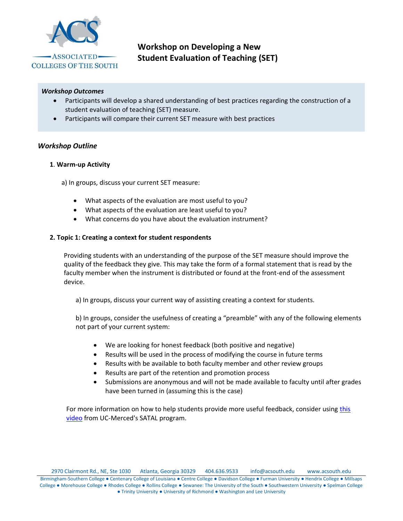

**Workshop on Developing a New Student Evaluation of Teaching (SET)**

### *Workshop Outcomes*

- Participants will develop a shared understanding of best practices regarding the construction of a student evaluation of teaching (SET) measure.
- Participants will compare their current SET measure with best practices

### *Workshop Outline*

#### **1**. **Warm-up Activity**

a) In groups, discuss your current SET measure:

- What aspects of the evaluation are most useful to you?
- What aspects of the evaluation are least useful to you?
- What concerns do you have about the evaluation instrument?

### **2. Topic 1: Creating a context for student respondents**

Providing students with an understanding of the purpose of the SET measure should improve the quality of the feedback they give. This may take the form of a formal statement that is read by the faculty member when the instrument is distributed or found at the front-end of the assessment device.

a) In groups, discuss your current way of assisting creating a context for students.

b) In groups, consider the usefulness of creating a "preamble" with any of the following elements not part of your current system:

- We are looking for honest feedback (both positive and negative)
- Results will be used in the process of modifying the course in future terms
- Results with be available to both faculty member and other review groups
- Results are part of the retention and promotion process
- Submissions are anonymous and will not be made available to faculty until after grades have been turned in (assuming this is the case)

For more information on how to help students provide more useful feedback, consider using this [video](https://youtu.be/p2Vxiree0bU) from UC-Merced's SATAL program.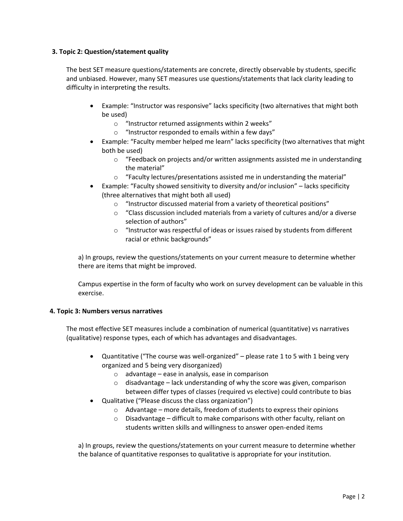# **3. Topic 2: Question/statement quality**

The best SET measure questions/statements are concrete, directly observable by students, specific and unbiased. However, many SET measures use questions/statements that lack clarity leading to difficulty in interpreting the results.

- Example: "Instructor was responsive" lacks specificity (two alternatives that might both be used)
	- o "Instructor returned assignments within 2 weeks"
	- o "Instructor responded to emails within a few days"
- Example: "Faculty member helped me learn" lacks specificity (two alternatives that might both be used)
	- o "Feedback on projects and/or written assignments assisted me in understanding the material"
	- o "Faculty lectures/presentations assisted me in understanding the material"
- Example: "Faculty showed sensitivity to diversity and/or inclusion" lacks specificity (three alternatives that might both all used)
	- o "Instructor discussed material from a variety of theoretical positions"
	- o "Class discussion included materials from a variety of cultures and/or a diverse selection of authors"
	- $\circ$  "Instructor was respectful of ideas or issues raised by students from different racial or ethnic backgrounds"

a) In groups, review the questions/statements on your current measure to determine whether there are items that might be improved.

Campus expertise in the form of faculty who work on survey development can be valuable in this exercise.

## **4. Topic 3: Numbers versus narratives**

The most effective SET measures include a combination of numerical (quantitative) vs narratives (qualitative) response types, each of which has advantages and disadvantages.

- Quantitative ("The course was well-organized" please rate 1 to 5 with 1 being very organized and 5 being very disorganized)
	- o advantage ease in analysis, ease in comparison
	- $\circ$  disadvantage lack understanding of why the score was given, comparison between differ types of classes (required vs elective) could contribute to bias
- Qualitative ("Please discuss the class organization")
	- o Advantage more details, freedom of students to express their opinions
	- $\circ$  Disadvantage difficult to make comparisons with other faculty, reliant on students written skills and willingness to answer open-ended items

a) In groups, review the questions/statements on your current measure to determine whether the balance of quantitative responses to qualitative is appropriate for your institution.